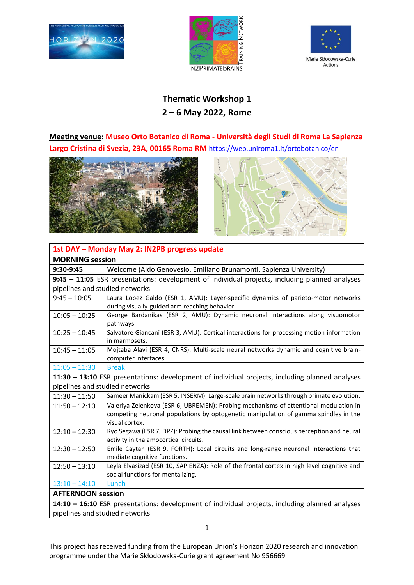





## **Thematic Workshop 1 2 – 6 May 2022, Rome**

**Meeting venue: Museo Orto Botanico di Roma - Università degli Studi di Roma La Sapienza Largo Cristina di Svezia, 23A, 00165 Roma RM** <https://web.uniroma1.it/ortobotanico/en>





| 1st DAY - Monday May 2: IN2PB progress update                                                   |                                                                                                 |  |
|-------------------------------------------------------------------------------------------------|-------------------------------------------------------------------------------------------------|--|
| <b>MORNING session</b>                                                                          |                                                                                                 |  |
| $9:30-9:45$                                                                                     | Welcome (Aldo Genovesio, Emiliano Brunamonti, Sapienza University)                              |  |
|                                                                                                 | 9:45 - 11:05 ESR presentations: development of individual projects, including planned analyses  |  |
| pipelines and studied networks                                                                  |                                                                                                 |  |
| $9:45 - 10:05$                                                                                  | Laura López Galdo (ESR 1, AMU): Layer-specific dynamics of parieto-motor networks               |  |
|                                                                                                 | during visually-guided arm reaching behavior.                                                   |  |
| $10:05 - 10:25$                                                                                 | George Bardanikas (ESR 2, AMU): Dynamic neuronal interactions along visuomotor                  |  |
|                                                                                                 | pathways.                                                                                       |  |
| $10:25 - 10:45$                                                                                 | Salvatore Giancani (ESR 3, AMU): Cortical interactions for processing motion information        |  |
|                                                                                                 | in marmosets.                                                                                   |  |
| $10:45 - 11:05$                                                                                 | Mojtaba Alavi (ESR 4, CNRS): Multi-scale neural networks dynamic and cognitive brain-           |  |
|                                                                                                 | computer interfaces.                                                                            |  |
| $11:05 - 11:30$                                                                                 | <b>Break</b>                                                                                    |  |
|                                                                                                 | 11:30 - 13:10 ESR presentations: development of individual projects, including planned analyses |  |
| pipelines and studied networks                                                                  |                                                                                                 |  |
| $11:30 - 11:50$                                                                                 | Sameer Manickam (ESR 5, INSERM): Large-scale brain networks through primate evolution.          |  |
| $11:50 - 12:10$                                                                                 | Valeriya Zelenkova (ESR 6, UBREMEN): Probing mechanisms of attentional modulation in            |  |
|                                                                                                 | competing neuronal populations by optogenetic manipulation of gamma spindles in the             |  |
|                                                                                                 | visual cortex.                                                                                  |  |
| $12:10 - 12:30$                                                                                 | Ryo Segawa (ESR 7, DPZ): Probing the causal link between conscious perception and neural        |  |
|                                                                                                 | activity in thalamocortical circuits.                                                           |  |
| $12:30 - 12:50$                                                                                 | Emile Caytan (ESR 9, FORTH): Local circuits and long-range neuronal interactions that           |  |
|                                                                                                 | mediate cognitive functions.                                                                    |  |
| $12:50 - 13:10$                                                                                 | Leyla Elyasizad (ESR 10, SAPIENZA): Role of the frontal cortex in high level cognitive and      |  |
|                                                                                                 | social functions for mentalizing.                                                               |  |
| $13:10 - 14:10$                                                                                 | Lunch                                                                                           |  |
| <b>AFTERNOON session</b>                                                                        |                                                                                                 |  |
| 14:10 - 16:10 ESR presentations: development of individual projects, including planned analyses |                                                                                                 |  |
| pipelines and studied networks                                                                  |                                                                                                 |  |

This project has received funding from the European Union's Horizon 2020 research and innovation programme under the Marie Skłodowska-Curie grant agreement No 956669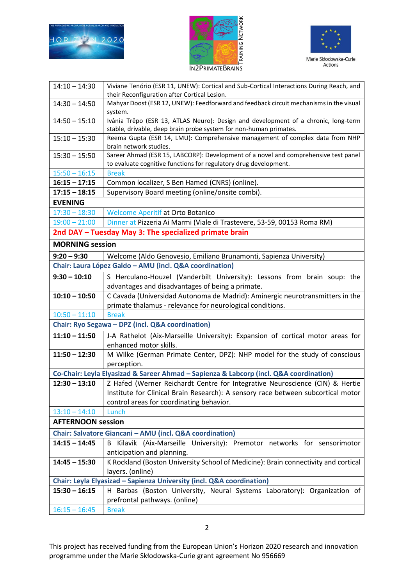





| $14:10 - 14:30$                                         | Viviane Tenório (ESR 11, UNEW): Cortical and Sub-Cortical Interactions During Reach, and                 |  |
|---------------------------------------------------------|----------------------------------------------------------------------------------------------------------|--|
|                                                         | their Reconfiguration after Cortical Lesion.                                                             |  |
| $14:30 - 14:50$                                         | Mahyar Doost (ESR 12, UNEW): Feedforward and feedback circuit mechanisms in the visual<br>system.        |  |
| $14:50 - 15:10$                                         | Ivânia Trêpo (ESR 13, ATLAS Neuro): Design and development of a chronic, long-term                       |  |
|                                                         | stable, drivable, deep brain probe system for non-human primates.                                        |  |
| $15:10 - 15:30$                                         | Reema Gupta (ESR 14, LMU): Comprehensive management of complex data from NHP<br>brain network studies.   |  |
|                                                         | Sareer Ahmad (ESR 15, LABCORP): Development of a novel and comprehensive test panel                      |  |
| $15:30 - 15:50$                                         | to evaluate cognitive functions for regulatory drug development.                                         |  |
| $15:50 - 16:15$                                         | <b>Break</b>                                                                                             |  |
| $16:15 - 17:15$                                         | Common localizer, S Ben Hamed (CNRS) (online).                                                           |  |
| $17:15 - 18:15$                                         | Supervisory Board meeting (online/onsite combi).                                                         |  |
| <b>EVENING</b>                                          |                                                                                                          |  |
| $17:30 - 18:30$                                         | <b>Welcome Aperitif at Orto Botanico</b>                                                                 |  |
| $19:00 - 21:00$                                         | Dinner at Pizzeria Ai Marmi (Viale di Trastevere, 53-59, 00153 Roma RM)                                  |  |
| 2nd DAY - Tuesday May 3: The specialized primate brain  |                                                                                                          |  |
| <b>MORNING session</b>                                  |                                                                                                          |  |
| $9:20 - 9:30$                                           | Welcome (Aldo Genovesio, Emiliano Brunamonti, Sapienza University)                                       |  |
| Chair: Laura López Galdo - AMU (incl. Q&A coordination) |                                                                                                          |  |
| $9:30 - 10:10$                                          | S Herculano-Houzel (Vanderbilt University): Lessons from brain soup: the                                 |  |
|                                                         | advantages and disadvantages of being a primate.                                                         |  |
| $10:10 - 10:50$                                         | C Cavada (Universidad Autonoma de Madrid): Aminergic neurotransmitters in the                            |  |
|                                                         | primate thalamus - relevance for neurological conditions.                                                |  |
| $10:50 - 11:10$                                         | <b>Break</b>                                                                                             |  |
|                                                         | Chair: Ryo Segawa - DPZ (incl. Q&A coordination)                                                         |  |
| $11:10 - 11:50$                                         | J-A Rathelot (Aix-Marseille University): Expansion of cortical motor areas for<br>enhanced motor skills. |  |
| $11:50 - 12:30$                                         | M Wilke (German Primate Center, DPZ): NHP model for the study of conscious                               |  |
|                                                         | perception.                                                                                              |  |
|                                                         | Co-Chair: Leyla Elyasizad & Sareer Ahmad - Sapienza & Labcorp (incl. Q&A coordination)                   |  |
| $12:30 - 13:10$                                         | Z Hafed (Werner Reichardt Centre for Integrative Neuroscience (CIN) & Hertie                             |  |
|                                                         | Institute for Clinical Brain Research): A sensory race between subcortical motor                         |  |
|                                                         | control areas for coordinating behavior.                                                                 |  |
| $13:10 - 14:10$                                         | Lunch                                                                                                    |  |
| <b>AFTERNOON session</b>                                |                                                                                                          |  |
|                                                         | Chair: Salvatore Giancani - AMU (incl. Q&A coordination)                                                 |  |
| $14:15 - 14:45$                                         | Kilavik (Aix-Marseille University): Premotor networks for sensorimotor<br>B                              |  |
|                                                         | anticipation and planning.                                                                               |  |
| $14:45 - 15:30$                                         | K Rockland (Boston University School of Medicine): Brain connectivity and cortical                       |  |
|                                                         | layers. (online)                                                                                         |  |
|                                                         | Chair: Leyla Elyasizad - Sapienza University (incl. Q&A coordination)                                    |  |
| $15:30 - 16:15$                                         |                                                                                                          |  |
|                                                         | H Barbas (Boston University, Neural Systems Laboratory): Organization of                                 |  |
|                                                         | prefrontal pathways. (online)                                                                            |  |
| $16:15 - 16:45$                                         | <b>Break</b>                                                                                             |  |

2

This project has received funding from the European Union's Horizon 2020 research and innovation programme under the Marie Skłodowska-Curie grant agreement No 956669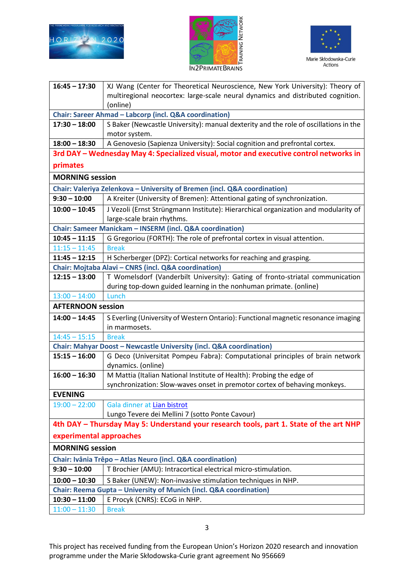





| $16:45 - 17:30$                                                           | XJ Wang (Center for Theoretical Neuroscience, New York University): Theory of          |  |
|---------------------------------------------------------------------------|----------------------------------------------------------------------------------------|--|
|                                                                           | multiregional neocortex: large-scale neural dynamics and distributed cognition.        |  |
|                                                                           | (online)                                                                               |  |
|                                                                           | Chair: Sareer Ahmad - Labcorp (incl. Q&A coordination)                                 |  |
| $17:30 - 18:00$                                                           | S Baker (Newcastle University): manual dexterity and the role of oscillations in the   |  |
|                                                                           | motor system.                                                                          |  |
| $18:00 - 18:30$                                                           | A Genovesio (Sapienza University): Social cognition and prefrontal cortex.             |  |
|                                                                           | 3rd DAY - Wednesday May 4: Specialized visual, motor and executive control networks in |  |
| primates                                                                  |                                                                                        |  |
| <b>MORNING</b> session                                                    |                                                                                        |  |
| Chair: Valeriya Zelenkova - University of Bremen (incl. Q&A coordination) |                                                                                        |  |
| $9:30 - 10:00$                                                            | A Kreiter (University of Bremen): Attentional gating of synchronization.               |  |
| $10:00 - 10:45$                                                           | J Vezoli (Ernst Strüngmann Institute): Hierarchical organization and modularity of     |  |
|                                                                           | large-scale brain rhythms.                                                             |  |
|                                                                           | Chair: Sameer Manickam - INSERM (incl. Q&A coordination)                               |  |
| $10:45 - 11:15$                                                           | G Gregoriou (FORTH): The role of prefrontal cortex in visual attention.                |  |
| $11:15 - 11:45$                                                           | <b>Break</b>                                                                           |  |
| $11:45 - 12:15$                                                           | H Scherberger (DPZ): Cortical networks for reaching and grasping.                      |  |
|                                                                           | Chair: Mojtaba Alavi - CNRS (incl. Q&A coordination)                                   |  |
| $12:15 - 13:00$                                                           | T Womelsdorf (Vanderbilt University): Gating of fronto-striatal communication          |  |
|                                                                           | during top-down guided learning in the nonhuman primate. (online)                      |  |
| $13:00 - 14:00$                                                           | Lunch                                                                                  |  |
| <b>AFTERNOON session</b>                                                  |                                                                                        |  |
| $14:00 - 14:45$                                                           | S Everling (University of Western Ontario): Functional magnetic resonance imaging      |  |
|                                                                           | in marmosets.                                                                          |  |
| $14:45 - 15:15$                                                           | <b>Break</b>                                                                           |  |
|                                                                           | Chair: Mahyar Doost - Newcastle University (incl. Q&A coordination)                    |  |
| $15:15 - 16:00$                                                           | G Deco (Universitat Pompeu Fabra): Computational principles of brain network           |  |
|                                                                           | dynamics. (online)                                                                     |  |
| $16:00 - 16:30$                                                           | M Mattia (Italian National Institute of Health): Probing the edge of                   |  |
|                                                                           | synchronization: Slow-waves onset in premotor cortex of behaving monkeys.              |  |
| <b>EVENING</b>                                                            |                                                                                        |  |
| $19:00 - 22:00$                                                           | Gala dinner at Lian bistrot                                                            |  |
|                                                                           | Lungo Tevere dei Mellini 7 (sotto Ponte Cavour)                                        |  |
|                                                                           | 4th DAY - Thursday May 5: Understand your research tools, part 1. State of the art NHP |  |
| experimental approaches                                                   |                                                                                        |  |
| <b>MORNING</b> session                                                    |                                                                                        |  |
| Chair: Ivânia Trêpo - Atlas Neuro (incl. Q&A coordination)                |                                                                                        |  |
| $9:30 - 10:00$                                                            | T Brochier (AMU): Intracortical electrical micro-stimulation.                          |  |
| $10:00 - 10:30$                                                           | S Baker (UNEW): Non-invasive stimulation techniques in NHP.                            |  |
| Chair: Reema Gupta - University of Munich (incl. Q&A coordination)        |                                                                                        |  |
| $10:30 - 11:00$                                                           | E Procyk (CNRS): ECoG in NHP.                                                          |  |
| $11:00 - 11:30$                                                           | <b>Break</b>                                                                           |  |

3